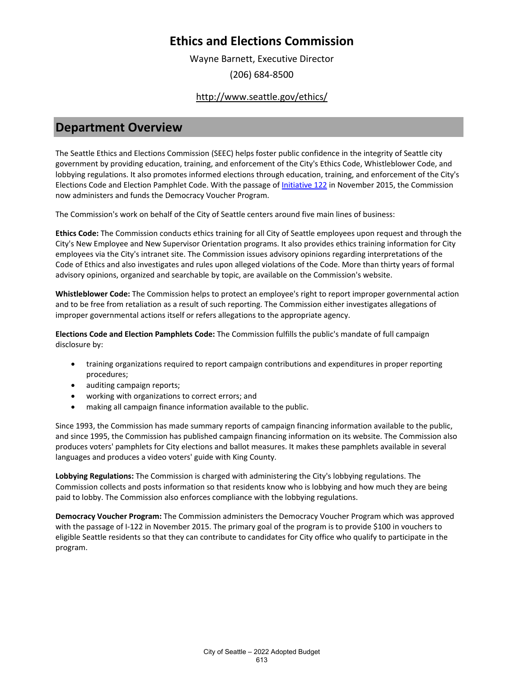Wayne Barnett, Executive Director (206) 684-8500

### <http://www.seattle.gov/ethics/>

### **Department Overview**

The Seattle Ethics and Elections Commission (SEEC) helps foster public confidence in the integrity of Seattle city government by providing education, training, and enforcement of the City's Ethics Code, Whistleblower Code, and lobbying regulations. It also promotes informed elections through education, training, and enforcement of the City's Elections Code and Election Pamphlet Code. With the passage o[f Initiative 122 i](https://library.municode.com/wa/seattle/ordinances/municipal_code?nodeId)n November 2015, the Commission now administers and funds the Democracy Voucher Program.

The Commission's work on behalf of the City of Seattle centers around five main lines of business:

**Ethics Code:** The Commission conducts ethics training for all City of Seattle employees upon request and through the City's New Employee and New Supervisor Orientation programs. It also provides ethics training information for City employees via the City's intranet site. The Commission issues advisory opinions regarding interpretations of the Code of Ethics and also investigates and rules upon alleged violations of the Code. More than thirty years of formal advisory opinions, organized and searchable by topic, are available on the Commission's website.

**Whistleblower Code:** The Commission helps to protect an employee's right to report improper governmental action and to be free from retaliation as a result of such reporting. The Commission either investigates allegations of improper governmental actions itself or refers allegations to the appropriate agency.

**Elections Code and Election Pamphlets Code:** The Commission fulfills the public's mandate of full campaign disclosure by:

- training organizations required to report campaign contributions and expenditures in proper reporting procedures;
- auditing campaign reports;
- working with organizations to correct errors; and
- making all campaign finance information available to the public.

Since 1993, the Commission has made summary reports of campaign financing information available to the public, and since 1995, the Commission has published campaign financing information on its website. The Commission also produces voters' pamphlets for City elections and ballot measures. It makes these pamphlets available in several languages and produces a video voters' guide with King County.

**Lobbying Regulations:** The Commission is charged with administering the City's lobbying regulations. The Commission collects and posts information so that residents know who is lobbying and how much they are being paid to lobby. The Commission also enforces compliance with the lobbying regulations.

**Democracy Voucher Program:** The Commission administers the Democracy Voucher Program which was approved with the passage of I-122 in November 2015. The primary goal of the program is to provide \$100 in vouchers to eligible Seattle residents so that they can contribute to candidates for City office who qualify to participate in the program.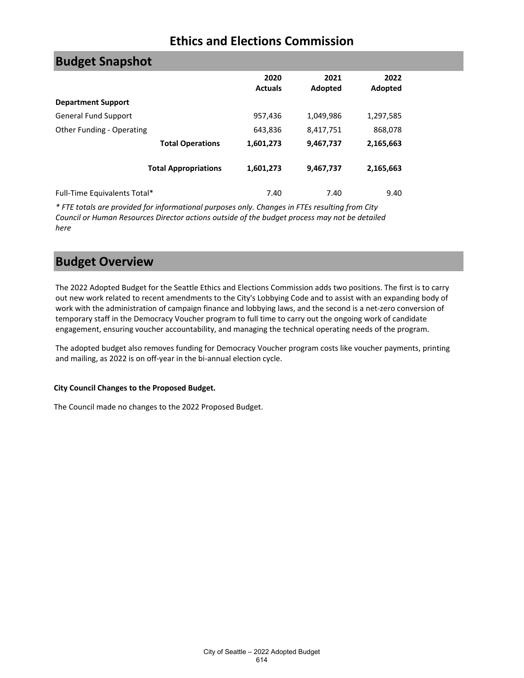| <b>Budget Snapshot</b>       |                             |                        |                 |                 |
|------------------------------|-----------------------------|------------------------|-----------------|-----------------|
|                              |                             | 2020<br><b>Actuals</b> | 2021<br>Adopted | 2022<br>Adopted |
| <b>Department Support</b>    |                             |                        |                 |                 |
| <b>General Fund Support</b>  |                             | 957,436                | 1,049,986       | 1,297,585       |
| Other Funding - Operating    |                             | 643,836                | 8,417,751       | 868,078         |
|                              | <b>Total Operations</b>     | 1,601,273              | 9,467,737       | 2,165,663       |
|                              | <b>Total Appropriations</b> | 1,601,273              | 9,467,737       | 2,165,663       |
| Full-Time Equivalents Total* |                             | 7.40                   | 7.40            | 9.40            |

*\* FTE totals are provided for informational purposes only. Changes in FTEs resulting from City Council or Human Resources Director actions outside of the budget process may not be detailed here*

## **Budget Overview**

The 2022 Adopted Budget for the Seattle Ethics and Elections Commission adds two positions. The first is to carry out new work related to recent amendments to the City's Lobbying Code and to assist with an expanding body of work with the administration of campaign finance and lobbying laws, and the second is a net-zero conversion of temporary staff in the Democracy Voucher program to full time to carry out the ongoing work of candidate engagement, ensuring voucher accountability, and managing the technical operating needs of the program.

The adopted budget also removes funding for Democracy Voucher program costs like voucher payments, printing and mailing, as 2022 is on off-year in the bi-annual election cycle.

#### **City Council Changes to the Proposed Budget.**

The Council made no changes to the 2022 Proposed Budget.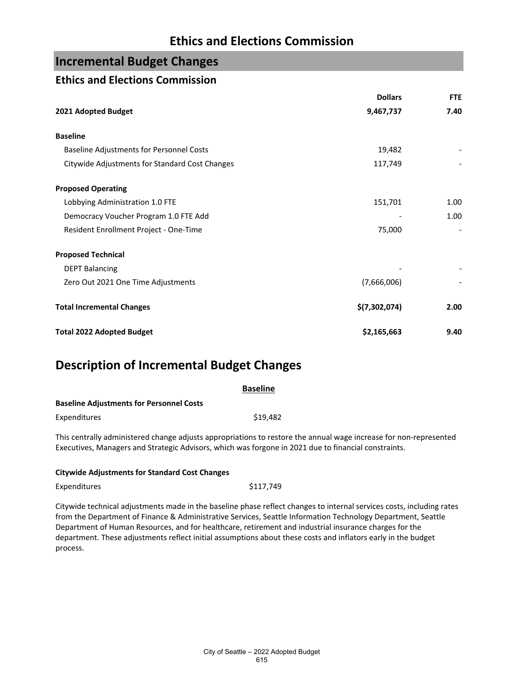## **Incremental Budget Changes**

### **Ethics and Elections Commission**

|                                                | <b>Dollars</b> | <b>FTE</b> |
|------------------------------------------------|----------------|------------|
| 2021 Adopted Budget                            | 9,467,737      | 7.40       |
| <b>Baseline</b>                                |                |            |
| Baseline Adjustments for Personnel Costs       | 19,482         |            |
| Citywide Adjustments for Standard Cost Changes | 117,749        |            |
| <b>Proposed Operating</b>                      |                |            |
| Lobbying Administration 1.0 FTE                | 151,701        | 1.00       |
| Democracy Voucher Program 1.0 FTE Add          |                | 1.00       |
| Resident Enrollment Project - One-Time         | 75,000         |            |
| <b>Proposed Technical</b>                      |                |            |
| <b>DEPT Balancing</b>                          |                |            |
| Zero Out 2021 One Time Adjustments             | (7,666,006)    |            |
| <b>Total Incremental Changes</b>               | \$(7,302,074)  | 2.00       |
| <b>Total 2022 Adopted Budget</b>               | \$2,165,663    | 9.40       |

## **Description of Incremental Budget Changes**

| <b>Baseline</b> |
|-----------------|
|                 |
| \$19,482        |
|                 |

This centrally administered change adjusts appropriations to restore the annual wage increase for non-represented Executives, Managers and Strategic Advisors, which was forgone in 2021 due to financial constraints.

| Expenditures | \$117,749 |
|--------------|-----------|
|--------------|-----------|

Citywide technical adjustments made in the baseline phase reflect changes to internal services costs, including rates from the Department of Finance & Administrative Services, Seattle Information Technology Department, Seattle Department of Human Resources, and for healthcare, retirement and industrial insurance charges for the department. These adjustments reflect initial assumptions about these costs and inflators early in the budget process.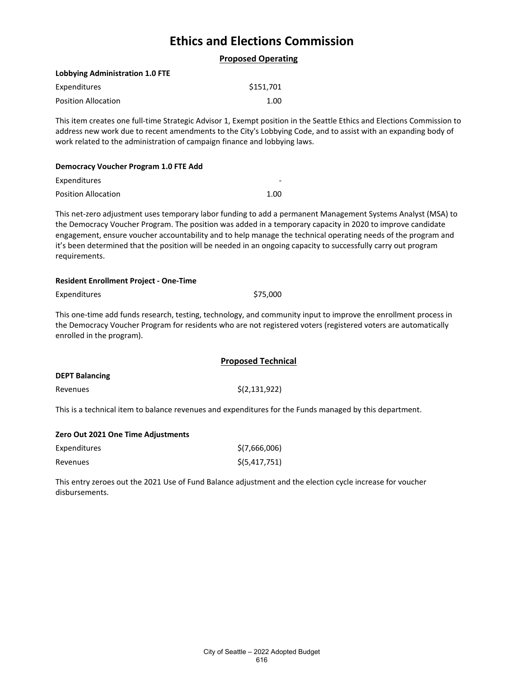**Proposed Operating**

#### **Lobbying Administration 1.0 FTE**

| Expenditures               | \$151,701 |
|----------------------------|-----------|
| <b>Position Allocation</b> | 1.00      |

This item creates one full-time Strategic Advisor 1, Exempt position in the Seattle Ethics and Elections Commission to address new work due to recent amendments to the City's Lobbying Code, and to assist with an expanding body of work related to the administration of campaign finance and lobbying laws.

#### **Democracy Voucher Program 1.0 FTE Add**

| Expenditures               | -    |
|----------------------------|------|
| <b>Position Allocation</b> | 1.00 |

This net-zero adjustment uses temporary labor funding to add a permanent Management Systems Analyst (MSA) to the Democracy Voucher Program. The position was added in a temporary capacity in 2020 to improve candidate engagement, ensure voucher accountability and to help manage the technical operating needs of the program and it's been determined that the position will be needed in an ongoing capacity to successfully carry out program requirements.

#### **Resident Enrollment Project - One-Time**

Expenditures \$75,000

This one-time add funds research, testing, technology, and community input to improve the enrollment process in the Democracy Voucher Program for residents who are not registered voters (registered voters are automatically enrolled in the program).

|                       | <b>Proposed Technical</b> |
|-----------------------|---------------------------|
| <b>DEPT Balancing</b> |                           |
| Revenues              | \$(2,131,922)             |

This is a technical item to balance revenues and expenditures for the Funds managed by this department.

#### **Zero Out 2021 One Time Adjustments**

| Expenditures | \$(7,666,006)   |
|--------------|-----------------|
| Revenues     | \$(5, 417, 751) |

This entry zeroes out the 2021 Use of Fund Balance adjustment and the election cycle increase for voucher disbursements.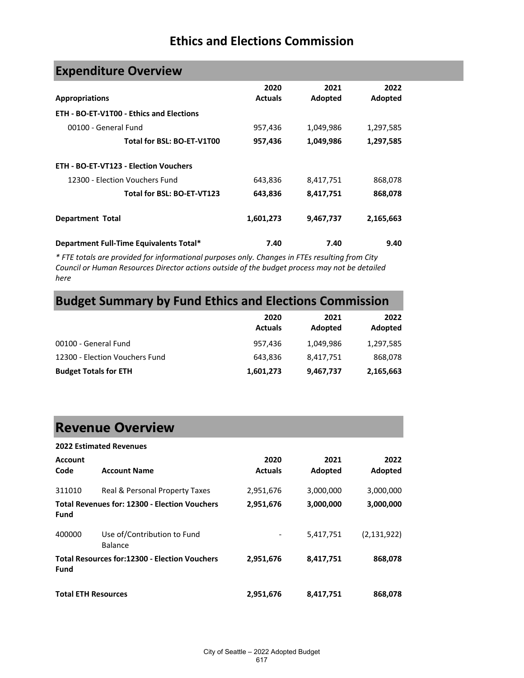| <b>Expenditure Overview</b>                     |                |           |           |
|-------------------------------------------------|----------------|-----------|-----------|
|                                                 | 2020           | 2021      | 2022      |
| <b>Appropriations</b>                           | <b>Actuals</b> | Adopted   | Adopted   |
| <b>ETH - BO-ET-V1T00 - Ethics and Elections</b> |                |           |           |
| 00100 - General Fund                            | 957,436        | 1,049,986 | 1,297,585 |
| Total for BSL: BO-ET-V1T00                      | 957,436        | 1,049,986 | 1,297,585 |
| <b>ETH - BO-ET-VT123 - Election Vouchers</b>    |                |           |           |
| 12300 - Flection Vouchers Fund                  | 643,836        | 8,417,751 | 868,078   |
| Total for BSL: BO-ET-VT123                      | 643,836        | 8,417,751 | 868,078   |
| <b>Department Total</b>                         | 1,601,273      | 9,467,737 | 2,165,663 |
| Department Full-Time Equivalents Total*         | 7.40           | 7.40      | 9.40      |

*\* FTE totals are provided for informational purposes only. Changes in FTEs resulting from City Council or Human Resources Director actions outside of the budget process may not be detailed here*

# **Budget Summary by Fund Ethics and Elections Commission**

|                                | 2020<br><b>Actuals</b> | 2021<br>Adopted | 2022<br>Adopted |
|--------------------------------|------------------------|-----------------|-----------------|
| 00100 - General Fund           | 957,436                | 1,049,986       | 1,297,585       |
| 12300 - Election Vouchers Fund | 643.836                | 8,417,751       | 868,078         |
| <b>Budget Totals for ETH</b>   | 1,601,273              | 9,467,737       | 2,165,663       |

## **Revenue Overview**

| <b>2022 Estimated Revenues</b>                               |                                                      |                        |                 |                 |
|--------------------------------------------------------------|------------------------------------------------------|------------------------|-----------------|-----------------|
| <b>Account</b><br>Code                                       | <b>Account Name</b>                                  | 2020<br><b>Actuals</b> | 2021<br>Adopted | 2022<br>Adopted |
| 311010                                                       | Real & Personal Property Taxes                       | 2,951,676              | 3,000,000       | 3,000,000       |
| <b>Total Revenues for: 12300 - Election Vouchers</b><br>Fund |                                                      | 2,951,676              | 3,000,000       | 3,000,000       |
| 400000                                                       | Use of/Contribution to Fund<br>Balance               |                        | 5,417,751       | (2, 131, 922)   |
| Fund                                                         | <b>Total Resources for:12300 - Election Vouchers</b> | 2,951,676              | 8,417,751       | 868,078         |
| <b>Total ETH Resources</b>                                   |                                                      | 2,951,676              | 8,417,751       | 868,078         |